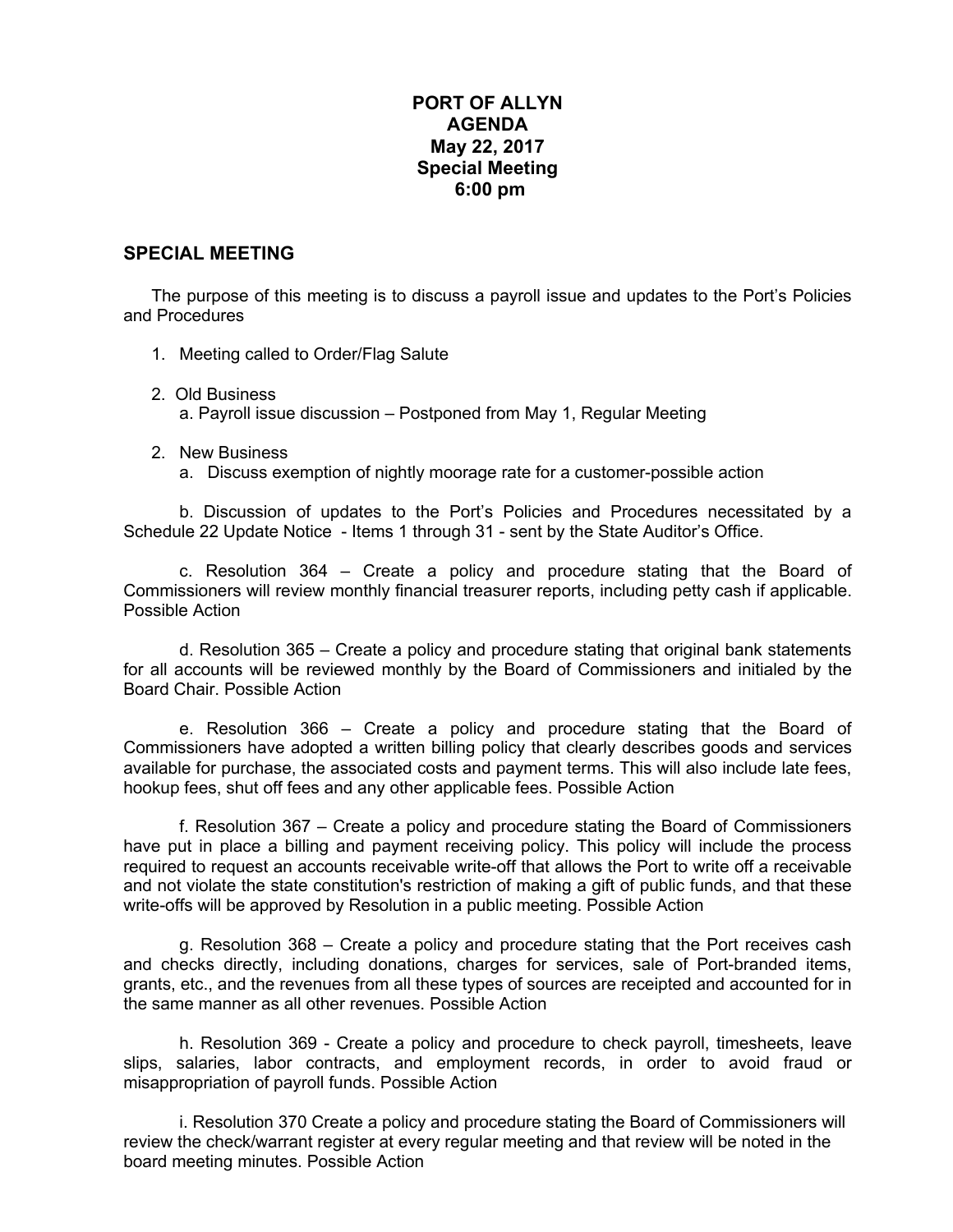## **PORT OF ALLYN AGENDA May 22, 2017 Special Meeting 6:00 pm**

## **SPECIAL MEETING**

The purpose of this meeting is to discuss a payroll issue and updates to the Port's Policies and Procedures

- 1. Meeting called to Order/Flag Salute
- 2. Old Business a. Payroll issue discussion – Postponed from May 1, Regular Meeting
- 2. New Business
	- a. Discuss exemption of nightly moorage rate for a customer-possible action

b. Discussion of updates to the Port's Policies and Procedures necessitated by a Schedule 22 Update Notice - Items 1 through 31 - sent by the State Auditor's Office.

c. Resolution 364 – Create a policy and procedure stating that the Board of Commissioners will review monthly financial treasurer reports, including petty cash if applicable. Possible Action

d. Resolution 365 – Create a policy and procedure stating that original bank statements for all accounts will be reviewed monthly by the Board of Commissioners and initialed by the Board Chair. Possible Action

e. Resolution 366 – Create a policy and procedure stating that the Board of Commissioners have adopted a written billing policy that clearly describes goods and services available for purchase, the associated costs and payment terms. This will also include late fees, hookup fees, shut off fees and any other applicable fees. Possible Action

f. Resolution 367 – Create a policy and procedure stating the Board of Commissioners have put in place a billing and payment receiving policy. This policy will include the process required to request an accounts receivable write-off that allows the Port to write off a receivable and not violate the state constitution's restriction of making a gift of public funds, and that these write-offs will be approved by Resolution in a public meeting. Possible Action

g. Resolution 368 – Create a policy and procedure stating that the Port receives cash and checks directly, including donations, charges for services, sale of Port-branded items, grants, etc., and the revenues from all these types of sources are receipted and accounted for in the same manner as all other revenues. Possible Action

h. Resolution 369 - Create a policy and procedure to check payroll, timesheets, leave slips, salaries, labor contracts, and employment records, in order to avoid fraud or misappropriation of payroll funds. Possible Action

i. Resolution 370 Create a policy and procedure stating the Board of Commissioners will review the check/warrant register at every regular meeting and that review will be noted in the board meeting minutes. Possible Action